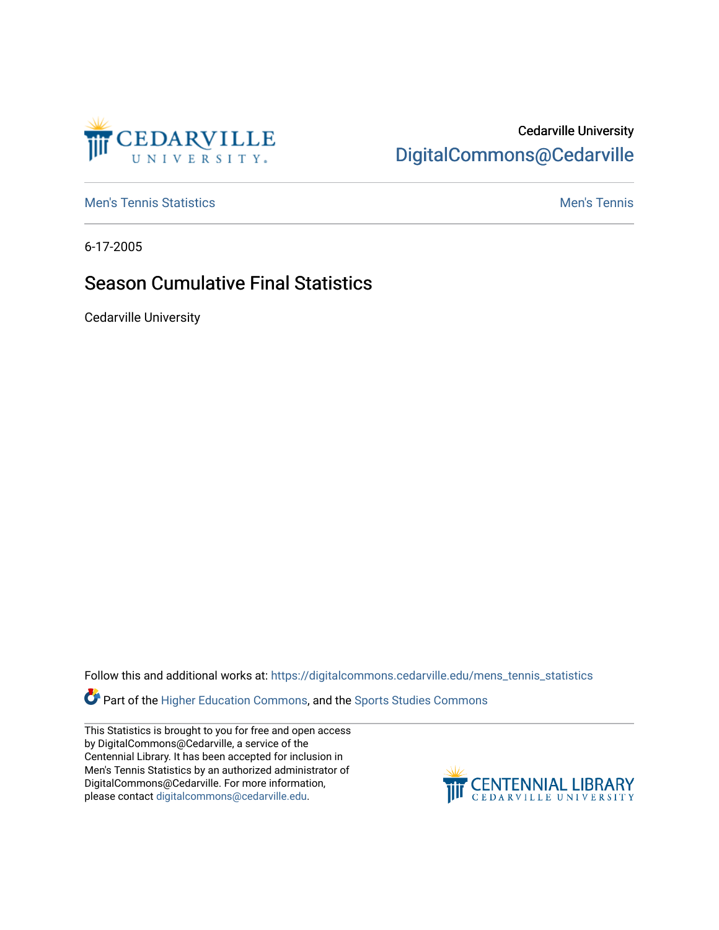

## Cedarville University [DigitalCommons@Cedarville](https://digitalcommons.cedarville.edu/)

**[Men's Tennis Statistics](https://digitalcommons.cedarville.edu/mens_tennis_statistics) Mental According to the Control of Control According Mental Men's Tennis** 

6-17-2005

## Season Cumulative Final Statistics

Cedarville University

Follow this and additional works at: [https://digitalcommons.cedarville.edu/mens\\_tennis\\_statistics](https://digitalcommons.cedarville.edu/mens_tennis_statistics?utm_source=digitalcommons.cedarville.edu%2Fmens_tennis_statistics%2F631&utm_medium=PDF&utm_campaign=PDFCoverPages)

**Part of the [Higher Education Commons,](http://network.bepress.com/hgg/discipline/1245?utm_source=digitalcommons.cedarville.edu%2Fmens_tennis_statistics%2F631&utm_medium=PDF&utm_campaign=PDFCoverPages) and the Sports Studies Commons** 

This Statistics is brought to you for free and open access by DigitalCommons@Cedarville, a service of the Centennial Library. It has been accepted for inclusion in Men's Tennis Statistics by an authorized administrator of DigitalCommons@Cedarville. For more information, please contact [digitalcommons@cedarville.edu](mailto:digitalcommons@cedarville.edu).

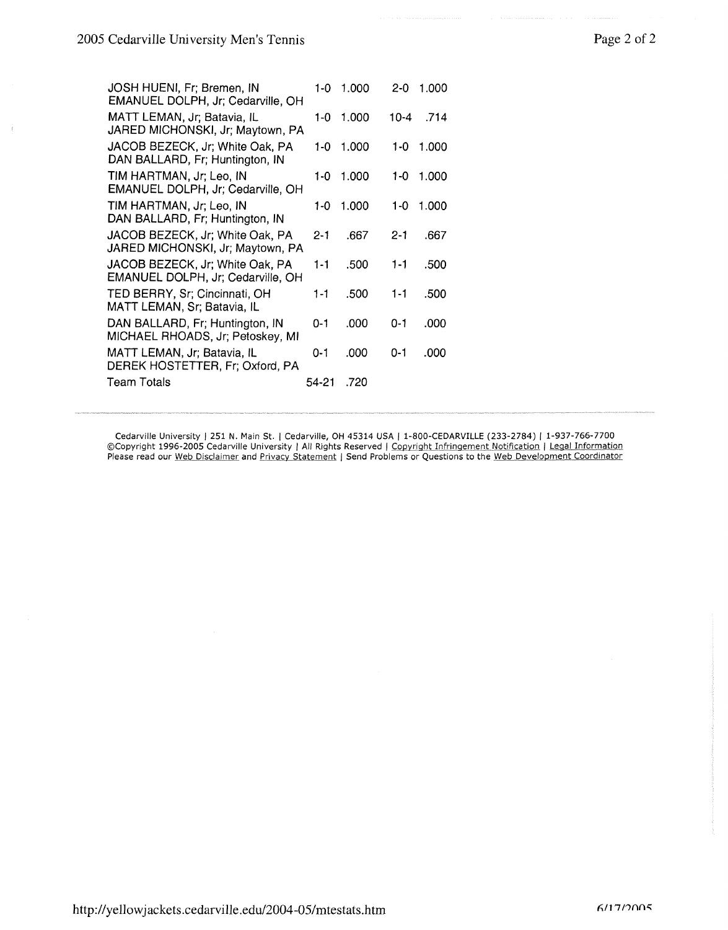| JOSH HUENI, Fr; Bremen, IN<br>EMANUEL DOLPH, Jr; Cedarville, OH      | 1-0-    | 1.000     | $2 - 0$ | 1.000 |
|----------------------------------------------------------------------|---------|-----------|---------|-------|
| MATT LEMAN, Jr; Batavia, IL<br>JARED MICHONSKI, Jr; Maytown, PA      |         | 1-0 1.000 | 10-4    | .714  |
| JACOB BEZECK, Jr; White Oak, PA<br>DAN BALLARD, Fr; Huntington, IN   | 1-0.    | 1.000     | 1-0     | 1.000 |
| TIM HARTMAN, Jr; Leo, IN<br>EMANUEL DOLPH, Jr; Cedarville, OH        |         | 1-0 1.000 | 1-0     | 1.000 |
| TIM HARTMAN, Jr; Leo, IN<br>DAN BALLARD, Fr; Huntington, IN          | 1-0     | 1.000     | 1-0 -   | 1.000 |
| JACOB BEZECK, Jr; White Oak, PA<br>JARED MICHONSKI, Jr; Maytown, PA  | 2-1     | .667      | $2 - 1$ | .667  |
| JACOB BEZECK, Jr; White Oak, PA<br>EMANUEL DOLPH, Jr; Cedarville, OH | 1-1     | .500      | $1 - 1$ | .500  |
| TED BERRY, Sr; Cincinnati, OH<br>MATT LEMAN, Sr; Batavia, IL         | $1 - 1$ | .500      | 1-1     | .500  |
| DAN BALLARD, Fr; Huntington, IN<br>MICHAEL RHOADS, Jr; Petoskey, MI  | $0 - 1$ | .000      | $0 - 1$ | .000  |
| MATT LEMAN, Jr; Batavia, IL<br>DEREK HOSTETTER, Fr; Oxford, PA       | 0-1     | .000      | O-1     | .000  |
| <b>Team Totals</b>                                                   | 54-21   | .720      |         |       |

Cedarville University | 251 N. Main St. | Cedarville, OH 45314 USA | 1-800-CEDARVILLE (233-2784) | 1-937-766-7700 ©Copyright 1996-2005 Cedarville University I All Rights Reserved I Copyright Infringement Notification I Legal Information Please read our Web Disclaimer and Privacy Statement | Send Problems or Questions to the Web Development Coordinator